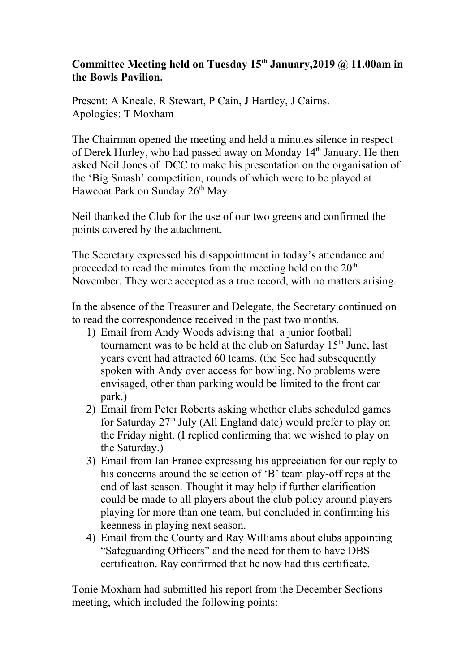## **Committee Meeting held on Tuesday 15th January,2019 @ 11.00am in the Bowls Pavilion.**

Present: A Kneale, R Stewart, P Cain, J Hartley, J Cairns. Apologies: T Moxham

The Chairman opened the meeting and held a minutes silence in respect of Derek Hurley, who had passed away on Monday 14<sup>th</sup> January. He then asked Neil Jones of DCC to make his presentation on the organisation of the 'Big Smash' competition, rounds of which were to be played at Hawcoat Park on Sunday 26<sup>th</sup> May.

Neil thanked the Club for the use of our two greens and confirmed the points covered by the attachment.

The Secretary expressed his disappointment in today's attendance and proceeded to read the minutes from the meeting held on the  $20<sup>th</sup>$ November. They were accepted as a true record, with no matters arising.

In the absence of the Treasurer and Delegate, the Secretary continued on to read the correspondence received in the past two months.

- 1) Email from Andy Woods advising that a junior football tournament was to be held at the club on Saturday  $15<sup>th</sup>$  June, last years event had attracted 60 teams. (the Sec had subsequently spoken with Andy over access for bowling. No problems were envisaged, other than parking would be limited to the front car park.)
- 2) Email from Peter Roberts asking whether clubs scheduled games for Saturday  $27<sup>th</sup>$  July (All England date) would prefer to play on the Friday night. (I replied confirming that we wished to play on the Saturday.)
- 3) Email from Ian France expressing his appreciation for our reply to his concerns around the selection of 'B' team play-off reps at the end of last season. Thought it may help if further clarification could be made to all players about the club policy around players playing for more than one team, but concluded in confirming his keenness in playing next season.
- 4) Email from the County and Ray Williams about clubs appointing "Safeguarding Officers" and the need for them to have DBS certification. Ray confirmed that he now had this certificate.

Tonie Moxham had submitted his report from the December Sections meeting, which included the following points: